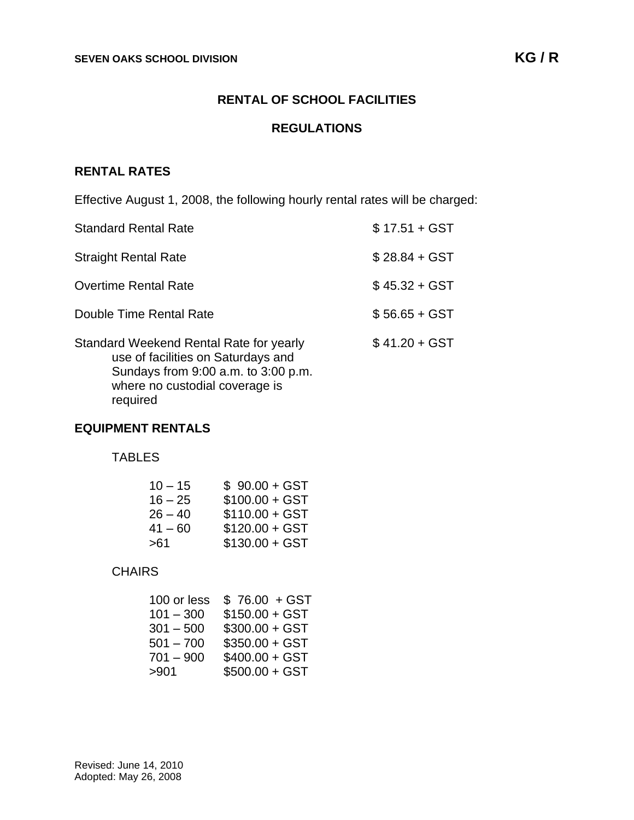## **RENTAL OF SCHOOL FACILITIES**

#### **REGULATIONS**

## **RENTAL RATES**

Effective August 1, 2008, the following hourly rental rates will be charged:

| <b>Standard Rental Rate</b>                                                                                                                                        | $$17.51 + GST$ |
|--------------------------------------------------------------------------------------------------------------------------------------------------------------------|----------------|
| <b>Straight Rental Rate</b>                                                                                                                                        | $$28.84 + GST$ |
| <b>Overtime Rental Rate</b>                                                                                                                                        | $$45.32 + GST$ |
| Double Time Rental Rate                                                                                                                                            | $$56.65 + GST$ |
| Standard Weekend Rental Rate for yearly<br>use of facilities on Saturdays and<br>Sundays from 9:00 a.m. to 3:00 p.m.<br>where no custodial coverage is<br>required | $$41.20 + GST$ |

#### **EQUIPMENT RENTALS**

TABLES

| $10 - 15$ | $$90.00 + GST$  |
|-----------|-----------------|
| $16 - 25$ | $$100.00 + GST$ |
| $26 - 40$ | $$110.00 + GST$ |
| $41 - 60$ | $$120.00 + GST$ |
| >61       | $$130.00 + GST$ |

# **CHAIRS**

| 100 or less | $$76.00 + GST$  |
|-------------|-----------------|
| $101 - 300$ | $$150.00 + GST$ |
| $301 - 500$ | $$300.00 + GST$ |
| $501 - 700$ | $$350.00 + GST$ |
| $701 - 900$ | $$400.00 + GST$ |
| >901        | $$500.00 + GST$ |